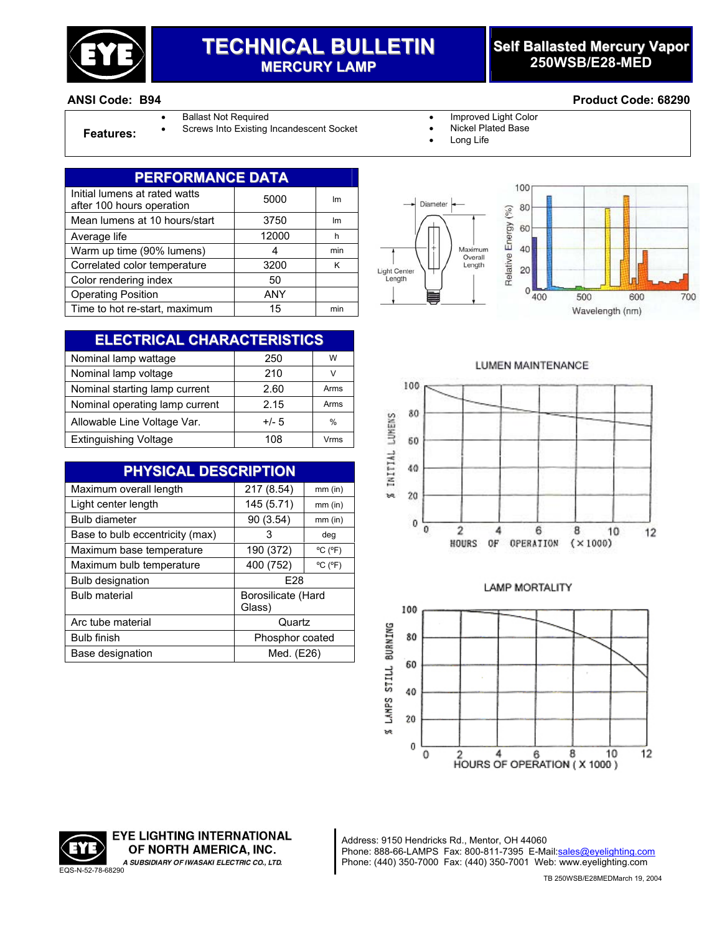

## **TECHNICAL BULLETIN MERCURY LAMP**

#### **Self Ballasted Mercury Vapor 250WSB/E28-MED**

#### **ANSI Code: B94 Product Code: 68290**

- 
- **Features:** Screws Into Existing Incandescent Socket Nickel Plated Base<br>• Long Life
- Ballast Not Required Improved Light Color<br>• Screws Into Existing Incandescent Socket Nickel Plated Base
	-
	-

| <b>PERFORMANCE DATA</b>                                    |            |     |  |
|------------------------------------------------------------|------------|-----|--|
| Initial lumens at rated watts<br>after 100 hours operation | 5000       | Im  |  |
| Mean lumens at 10 hours/start                              | 3750       | Im  |  |
| Average life                                               | 12000      | h   |  |
| Warm up time (90% lumens)                                  |            | min |  |
| Correlated color temperature                               | 3200       | Κ   |  |
| Color rendering index                                      | 50         |     |  |
| <b>Operating Position</b>                                  | <b>ANY</b> |     |  |
| Time to hot re-start, maximum                              | 15         | min |  |

| <b>ELECTRICAL CHARACTERISTICS</b> |         |             |  |
|-----------------------------------|---------|-------------|--|
| Nominal lamp wattage              | 250     | W           |  |
| Nominal lamp voltage              | 210     | v           |  |
| Nominal starting lamp current     | 2.60    | Arms        |  |
| Nominal operating lamp current    | 2.15    | Arms        |  |
| Allowable Line Voltage Var.       | $+/- 5$ | $\%$        |  |
| <b>Extinguishing Voltage</b>      | 108     | <b>Vrms</b> |  |

| <b>PHYSICAL DESCRIPTION</b>     |                    |                              |  |  |
|---------------------------------|--------------------|------------------------------|--|--|
| Maximum overall length          | 217 (8.54)         | $mm$ (in)                    |  |  |
| Light center length             | 145 (5.71)         | $mm$ (in)                    |  |  |
| <b>Bulb diameter</b>            | 90 (3.54)          | $mm$ (in)                    |  |  |
| Base to bulb eccentricity (max) | З                  | deg                          |  |  |
| Maximum base temperature        | 190 (372)          | $^{\circ}$ C ( $^{\circ}$ F) |  |  |
| Maximum bulb temperature        | 400 (752)          | $^{\circ}$ C ( $^{\circ}$ F) |  |  |
| <b>Bulb designation</b>         | F <sub>28</sub>    |                              |  |  |
| <b>Bulb material</b>            | Borosilicate (Hard |                              |  |  |
|                                 | Glass)             |                              |  |  |
| Arc tube material               | Quartz             |                              |  |  |
| <b>Bulb finish</b>              | Phosphor coated    |                              |  |  |
| Base designation                | Med. (E26)         |                              |  |  |

100 Diameter 80 Relative Energy (%) 60 40 Maximum Overall<br>Length Light Center 20 Length  $\mathbf 0$ 400 500 600 700 Wavelength (nm)

LUMEN MAINTENANCE



#### **LAMP MORTALITY**



Address: 9150 Hendricks Rd., Mentor, OH 44060 Phone: 888-66-LAMPS Fax: 800-811-7395 E-Mail:sales@eyelighting.com Phone: (440) 350-7000 Fax: (440) 350-7001 Web: www.eyelighting.com

TB 250WSB/E28MEDMarch 19, 2004



**EYE LIGHTING INTERNATIONAL** OF NORTH AMERICA, INC. A SUBSIDIARY OF IWASAKI ELECTRIC CO., LTD.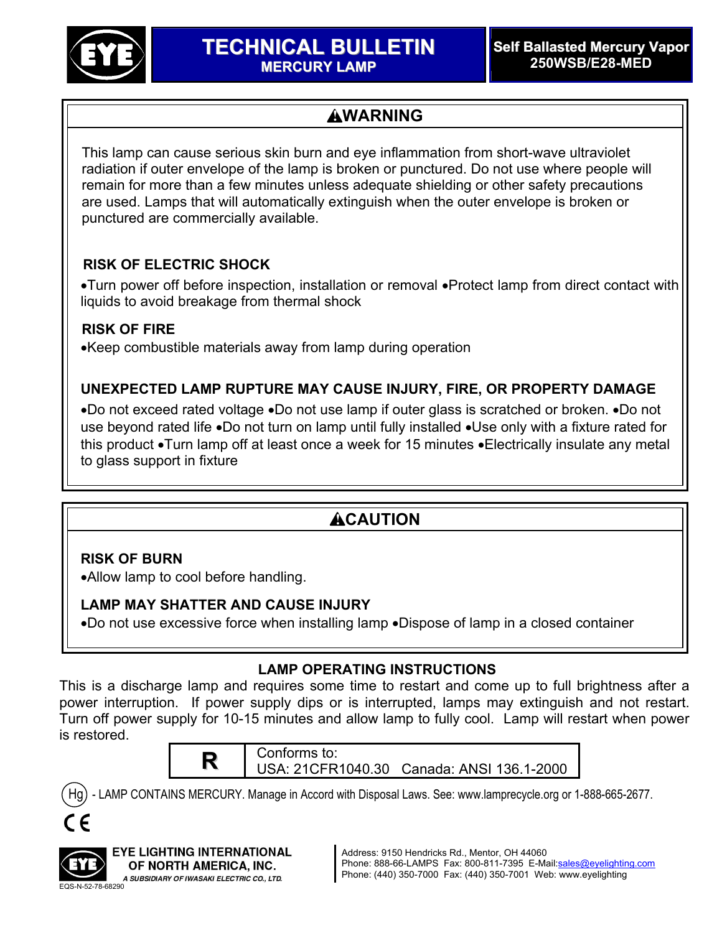

## **! WARNING**

This lamp can cause serious skin burn and eye inflammation from short-wave ultraviolet radiation if outer envelope of the lamp is broken or punctured. Do not use where people will remain for more than a few minutes unless adequate shielding or other safety precautions are used. Lamps that will automatically extinguish when the outer envelope is broken or punctured are commercially available.

### **RISK OF ELECTRIC SHOCK**

•Turn power off before inspection, installation or removal •Protect lamp from direct contact with liquids to avoid breakage from thermal shock

#### **RISK OF FIRE**

•Keep combustible materials away from lamp during operation

### **UNEXPECTED LAMP RUPTURE MAY CAUSE INJURY, FIRE, OR PROPERTY DAMAGE**

•Do not exceed rated voltage •Do not use lamp if outer glass is scratched or broken. •Do not use beyond rated life •Do not turn on lamp until fully installed •Use only with a fixture rated for this product •Turn lamp off at least once a week for 15 minutes •Electrically insulate any metal to glass support in fixture

# **! CAUTION**

### **RISK OF BURN**

•Allow lamp to cool before handling.

#### **LAMP MAY SHATTER AND CAUSE INJURY**

•Do not use excessive force when installing lamp •Dispose of lamp in a closed container

### **LAMP OPERATING INSTRUCTIONS**

This is a discharge lamp and requires some time to restart and come up to full brightness after a power interruption. If power supply dips or is interrupted, lamps may extinguish and not restart. Turn off power supply for 10-15 minutes and allow lamp to fully cool. Lamp will restart when power is restored.



**R** Conforms to:<br>
USA: 21CFR1040.30 Canada: ANSI 136.1-2000

Hg) - LAMP CONTAINS MERCURY. Manage in Accord with Disposal Laws. See: www.lamprecycle.org or 1-888-665-2677.





EYE LIGHTING INTERNATIONAL OF NORTH AMERICA, INC. A SUBSIDIARY OF IWASAKI ELECTRIC CO., LTD.